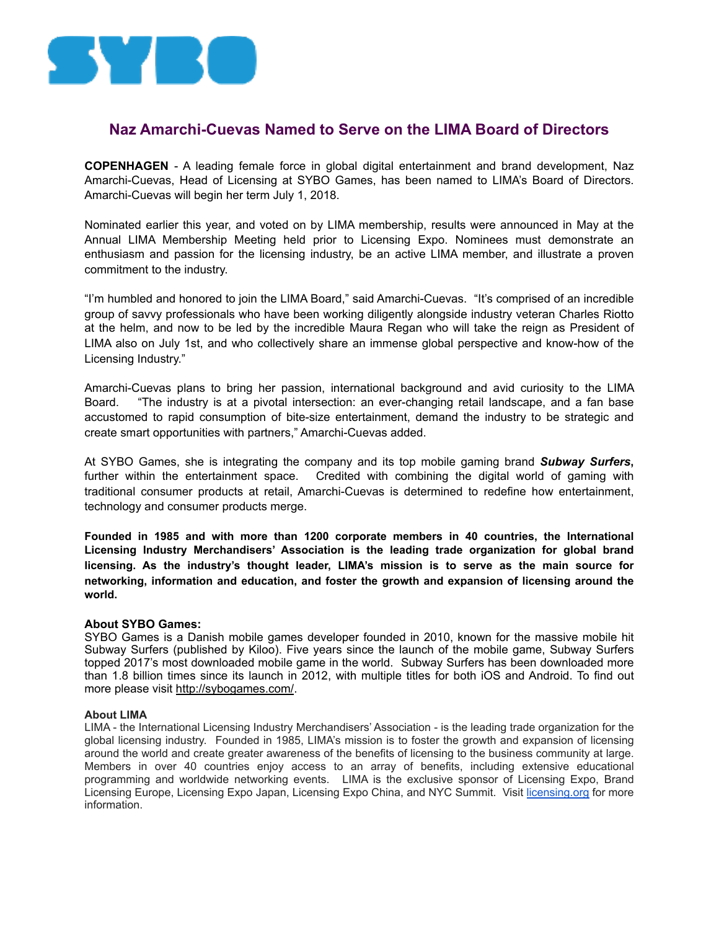

## **Naz Amarchi-Cuevas Named to Serve on the LIMA Board of Directors**

**COPENHAGEN** - A leading female force in global digital entertainment and brand development, Naz Amarchi-Cuevas, Head of Licensing at SYBO Games, has been named to LIMA's Board of Directors. Amarchi-Cuevas will begin her term July 1, 2018.

Nominated earlier this year, and voted on by LIMA membership, results were announced in May at the Annual LIMA Membership Meeting held prior to Licensing Expo. Nominees must demonstrate an enthusiasm and passion for the licensing industry, be an active LIMA member, and illustrate a proven commitment to the industry.

"I'm humbled and honored to join the LIMA Board," said Amarchi-Cuevas. "It's comprised of an incredible group of savvy professionals who have been working diligently alongside industry veteran Charles Riotto at the helm, and now to be led by the incredible Maura Regan who will take the reign as President of LIMA also on July 1st, and who collectively share an immense global perspective and know-how of the Licensing Industry."

Amarchi-Cuevas plans to bring her passion, international background and avid curiosity to the LIMA Board. "The industry is at a pivotal intersection: an ever-changing retail landscape, and a fan base accustomed to rapid consumption of bite-size entertainment, demand the industry to be strategic and create smart opportunities with partners," Amarchi-Cuevas added.

At SYBO Games, she is integrating the company and its top mobile gaming brand *Subway Surfers***,** further within the entertainment space. Credited with combining the digital world of gaming with traditional consumer products at retail, Amarchi-Cuevas is determined to redefine how entertainment, technology and consumer products merge.

**Founded in 1985 and with more than 1200 corporate members in 40 countries, the International Licensing Industry Merchandisers' Association is the leading trade organization for global brand licensing. As the industry's thought leader, LIMA's mission is to serve as the main source for networking, information and education, and foster the growth and expansion of licensing around the world.** 

## **About SYBO Games:**

SYBO Games is a Danish mobile games developer founded in 2010, known for the massive mobile hit Subway Surfers (published by Kiloo). Five years since the launch of the mobile game, Subway Surfers topped 2017's most downloaded mobile game in the world. Subway Surfers has been downloaded more than 1.8 billion times since its launch in 2012, with multiple titles for both iOS and Android. To find out more please visi[t http://sybogames.com/](http://sybogames.com/).

## **About LIMA**

LIMA - the International Licensing Industry Merchandisers' Association - is the leading trade organization for the global licensing industry. Founded in 1985, LIMA's mission is to foster the growth and expansion of licensing around the world and create greater awareness of the benefits of licensing to the business community at large. Members in over 40 countries enjoy access to an array of benefits, including extensive educational programming and worldwide networking events. LIMA is the exclusive sponsor of Licensing Expo, Brand Licensing Europe, Licensing Expo Japan, Licensing Expo China, and NYC Summit. Visit [licensing.org](http://www.licensing.org/) for more information.